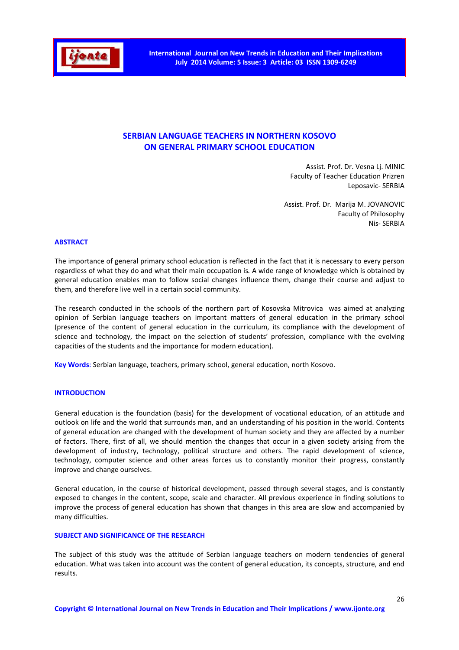

# **SERBIAN LANGUAGE TEACHERS IN NORTHERN KOSOVO ON GENERAL PRIMARY SCHOOL EDUCATION**

Assist. Prof. Dr. Vesna Lj. MINIC Faculty of Teacher Education Prizren Leposavic- SERBIA

Assist. Prof. Dr. Marija M. JOVANOVIC Faculty of Philosophy Nis- SERBIA

#### **ABSTRACT**

The importance of general primary school education is reflected in the fact that it is necessary to every person regardless of what they do and what their main occupation is*.* A wide range of knowledge which is obtained by general education enables man to follow social changes influence them, change their course and adjust to them, and therefore live well in a certain social community.

The research conducted in the schools of the northern part of Kosovska Mitrovica was aimed at analyzing opinion of Serbian language teachers on important matters of general education in the primary school (presence of the content of general education in the curriculum, its compliance with the development of science and technology, the impact on the selection of students' profession, compliance with the evolving capacities of the students and the importance for modern education).

**Key Words**: Serbian language, teachers, primary school, general education, north Kosovo.

### **INTRODUCTION**

General education is the foundation (basis) for the development of vocational education, of an attitude and outlook on life and the world that surrounds man, and an understanding of his position in the world. Contents of general education are changed with the development of human society and they are affected by a number of factors. There, first of all, we should mention the changes that occur in a given society arising from the development of industry, technology, political structure and others. The rapid development of science, technology, computer science and other areas forces us to constantly monitor their progress, constantly improve and change ourselves.

General education, in the course of historical development, passed through several stages, and is constantly exposed to changes in the content, scope, scale and character. All previous experience in finding solutions to improve the process of general education has shown that changes in this area are slow and accompanied by many difficulties.

### **SUBJECT AND SIGNIFICANCE OF THE RESEARCH**

The subject of this study was the attitude of Serbian language teachers on modern tendencies of general education. What was taken into account was the content of general education, its concepts, structure, and end results.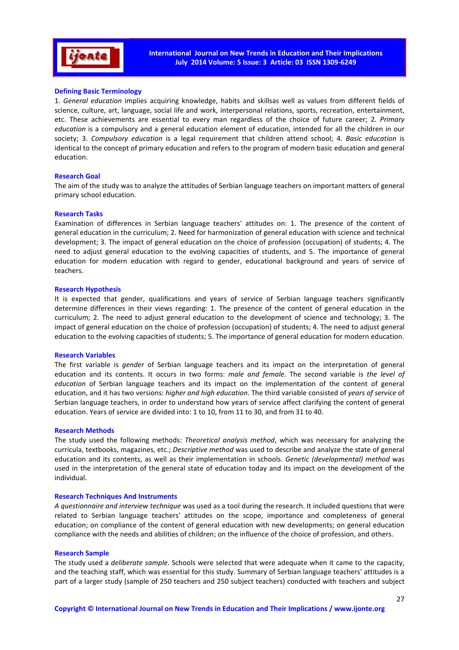

### **Defining Basic Terminology**

1. *General education* implies acquiring knowledge, habits and skillsas well as values from different fields of science, culture, art, language, social life and work, interpersonal relations, sports, recreation, entertainment, etc. These achievements are essential to every man regardless of the choice of future career; 2. *Primary education* is a compulsory and a general education element of education, intended for all the children in our society; 3. *Compulsory education* is a legal requirement that children attend school; 4. *Basic education* is identical to the concept of primary education and refers to the program of modern basic education and general education.

#### **Research Goal**

The aim of the study was to analyze the attitudes of Serbian language teachers on important matters of general primary school education.

#### **Research Tasks**

Examination of differences in Serbian language teachers' attitudes on: 1. The presence of the content of general education in the curriculum; 2. Need for harmonization of general education with science and technical development; 3. The impact of general education on the choice of profession (occupation) of students; 4. The need to adjust general education to the evolving capacities of students, and 5. The importance of general education for modern education with regard to gender, educational background and years of service of teachers.

#### **Research Hypothesis**

It is expected that gender, qualifications and years of service of Serbian language teachers significantly determine differences in their views regarding: 1. The presence of the content of general education in the curriculum; 2. The need to adjust general education to the development of science and technology; 3. The impact of general education on the choice of profession (occupation) of students; 4. The need to adjust general education to the evolving capacities of students; 5. The importance of general education for modern education.

#### **Research Variables**

The first variable is *gender* of Serbian language teachers and its impact on the interpretation of general education and its contents. It occurs in two forms: *male and female.* The second variable is *the level of education* of Serbian language teachers and its impact on the implementation of the content of general education, and it has two versions: *higher and high education*. The third variable consisted of *years of service* of Serbian language teachers, in order to understand how years of service affect clarifying the content of general education. Years of service are divided into: 1 to 10, from 11 to 30, and from 31 to 40.

#### **Research Methods**

The study used the following methods: *Theoretical analysis method*, which was necessary for analyzing the curricula, textbooks, magazines, etc.; *Descriptive method* was used to describe and analyze the state of general education and its contents, as well as their implementation in schools. *Genetic (developmental) method* was used in the interpretation of the general state of education today and its impact on the development of the individual.

#### **Research Techniques And Instruments**

*A questionnaire and interview technique* was used as a tool during the research. It included questions that were related to Serbian language teachers' attitudes on the scope, importance and completeness of general education; on compliance of the content of general education with new developments; on general education compliance with the needs and abilities of children; on the influence of the choice of profession, and others.

#### **Research Sample**

The study used a *deliberate sample*. Schools were selected that were adequate when it came to the capacity, and the teaching staff, which was essential for this study. Summary of Serbian language teachers' attitudes is a part of a larger study (sample of 250 teachers and 250 subject teachers) conducted with teachers and subject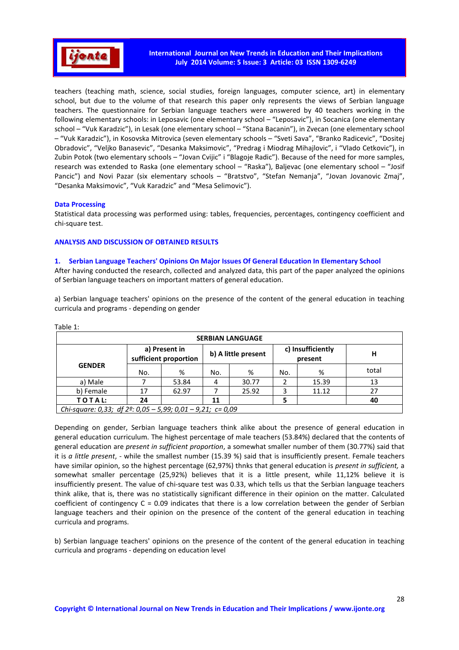

teachers (teaching math, science, social studies, foreign languages, computer science, art) in elementary school, but due to the volume of that research this paper only represents the views of Serbian language teachers. The questionnaire for Serbian language teachers were answered by 40 teachers working in the following elementary schools: in Leposavic (one elementary school – "Leposavic"), in Socanica (one elementary school – "Vuk Karadzic"), in Lesak (one elementary school – "Stana Bacanin"), in Zvecan (one elementary school – "Vuk Karadzic"), in Kosovska Mitrovica (seven elementary schools – "Sveti Sava", "Branko Radicevic", "Dositej Obradovic", "Veljko Banasevic", "Desanka Maksimovic", "Predrag i Miodrag Mihajlovic", i "Vlado Cetkovic"), in Zubin Potok (two elementary schools – "Jovan Cvijic" i "Blagoje Radic"). Because of the need for more samples, research was extended to Raska (one elementary school – "Raska"), Baljevac (one elementary school – "Josif Pancic") and Novi Pazar (six elementary schools - "Bratstvo", "Stefan Nemanja", "Jovan Jovanovic Zmaj", "Desanka Maksimovic", "Vuk Karadzic" and "Mesa Selimovic").

### **Data Processing**

Statistical data processing was performed using: tables, frequencies, percentages, contingency coefficient and chi-square test.

### **ANALYSIS AND DISCUSSION OF OBTAINED RESULTS**

### **1. Serbian Language Teachers' Opinions On Major Issues Of General Education In Elementary School**

After having conducted the research, collected and analyzed data, this part of the paper analyzed the opinions of Serbian language teachers on important matters of general education.

а) Serbian language teachers' opinions on the presence of the content of the general education in teaching curricula and programs - depending on gender

| <b>SERBIAN LANGUAGE</b>                                              |                                        |       |                     |       |                              |       |       |  |  |  |  |
|----------------------------------------------------------------------|----------------------------------------|-------|---------------------|-------|------------------------------|-------|-------|--|--|--|--|
|                                                                      | a) Present in<br>sufficient proportion |       | b) A little present |       | c) Insufficiently<br>present |       | н     |  |  |  |  |
| <b>GENDER</b>                                                        | No.                                    | %     | No.                 | ℅     | No.                          | %     | total |  |  |  |  |
| a) Male                                                              |                                        | 53.84 | 4                   | 30.77 |                              | 15.39 | 13    |  |  |  |  |
| b) Female                                                            | 17                                     | 62.97 |                     | 25.92 |                              | 11.12 | 27    |  |  |  |  |
| TOTAL:                                                               | 24                                     |       | 11                  |       |                              |       | 40    |  |  |  |  |
| Chi-square: 0,33; df $2^{\circ}$ : 0,05 - 5,99; 0,01 - 9,21; c= 0,09 |                                        |       |                     |       |                              |       |       |  |  |  |  |

Тable 1:

Depending on gender, Serbian language teachers think alike about the presence of general education in general education curriculum. The highest percentage of male teachers (53.84%) declared that the contents of general education are *present in sufficient proportion*, a somewhat smaller number of them (30.77%) said that it is *a little present*, - while the smallest number (15.39 %) said that is insufficiently present. Female teachers have similar opinion, so the highest percentage (62,97%) thnks that general education is *present in sufficient,* a somewhat smaller percentage (25,92%) believes that it is a little present, while 11,12% believe it is insufficiently present. The value of chi-square test was 0.33, which tells us that the Serbian language teachers think alike, that is, there was no statistically significant difference in their opinion on the matter. Calculated coefficient of contingency  $C = 0.09$  indicates that there is a low correlation between the gender of Serbian language teachers and their opinion on the presence of the content of the general education in teaching curricula and programs.

b) Serbian language teachers' opinions on the presence of the content of the general education in teaching curricula and programs - depending on education level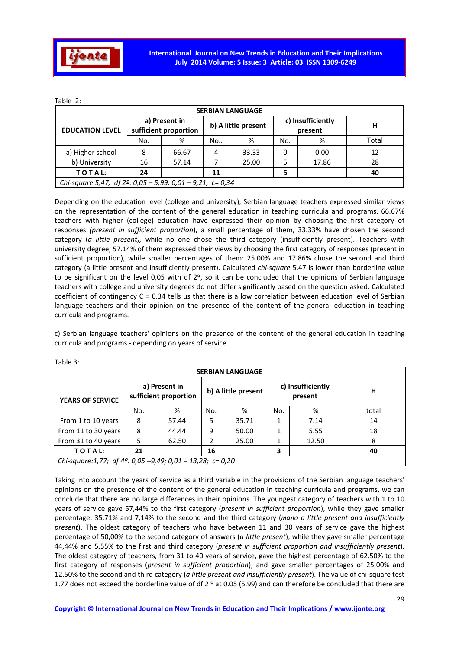

| <b>SERBIAN LANGUAGE</b>                                             |     |                                        |    |                     |     |                              |       |  |  |  |  |
|---------------------------------------------------------------------|-----|----------------------------------------|----|---------------------|-----|------------------------------|-------|--|--|--|--|
| <b>EDUCATION LEVEL</b>                                              |     | a) Present in<br>sufficient proportion |    | b) A little present |     | c) Insufficiently<br>present | н     |  |  |  |  |
|                                                                     | No. | %                                      | No | %                   | No. | %                            | Total |  |  |  |  |
| a) Higher school                                                    | 8   | 66.67                                  | 4  | 33.33               |     | 0.00                         | 12    |  |  |  |  |
| b) University                                                       | 16  | 57.14                                  |    | 25.00               |     | 17.86                        | 28    |  |  |  |  |
| TOTAL:                                                              | 24  |                                        | 11 |                     |     |                              | 40    |  |  |  |  |
| Chi-square 5,47; df $2^{\circ}$ : 0,05 - 5,99; 0,01 - 9,21; c= 0,34 |     |                                        |    |                     |     |                              |       |  |  |  |  |

Тable 2:

Depending on the education level (college and university), Serbian language teachers expressed similar views on the representation of the content of the general education in teaching curricula and programs. 66.67% teachers with higher (college) education have expressed their opinion by choosing the first category of responses *(present in sufficient proportion*), a small percentage of them, 33.33% have chosen the second category (*a little present),* while no one chose the third category (insufficiently present). Teachers with university degree, 57.14% of them expressed their views by choosing the first category of responses (present in sufficient proportion), while smaller percentages of them: 25.00% and 17.86% chose the second and third category (a little present and insufficiently present). Calculated *chi-square* 5,47 is lower than borderline value to be significant on the level 0,05 with df 2º, so it can be concluded that the opinions of Serbian language teachers with college and university degrees do not differ significantly based on the question asked. Calculated coefficient of contingency C = 0.34 tells us that there is a low correlation between education level of Serbian language teachers and their opinion on the presence of the content of the general education in teaching curricula and programs.

c) Serbian language teachers' opinions on the presence of the content of the general education in teaching curricula and programs - depending on years of service.

| <b>SERBIAN LANGUAGE</b> |                                                                     |                                        |     |                     |     |                              |       |  |  |  |  |
|-------------------------|---------------------------------------------------------------------|----------------------------------------|-----|---------------------|-----|------------------------------|-------|--|--|--|--|
| <b>YEARS OF SERVICE</b> |                                                                     | a) Present in<br>sufficient proportion |     | b) A little present |     | c) Insufficiently<br>present | н     |  |  |  |  |
|                         | No.                                                                 | %                                      | No. | %                   | No. | %                            | total |  |  |  |  |
| From 1 to 10 years      | 8                                                                   | 57.44                                  | 5   | 35.71               |     | 7.14                         | 14    |  |  |  |  |
| From 11 to 30 years     | 8                                                                   | 44.44                                  | 9   | 50.00               |     | 5.55                         | 18    |  |  |  |  |
| From 31 to 40 years     | 5                                                                   | 62.50                                  | 2   | 25.00               |     | 12.50                        | 8     |  |  |  |  |
| TOTAL:                  | 21                                                                  |                                        | 16  |                     | 3   |                              | 40    |  |  |  |  |
|                         | Chi-square:1,77; df $4^{\circ}$ : 0,05 -9,49; 0,01 - 13,28; c= 0,20 |                                        |     |                     |     |                              |       |  |  |  |  |

Таble 3:

Taking into account the years of service as a third variable in the provisions of the Serbian language teachers' opinions on the presence of the content of the general education in teaching curricula and programs, we can conclude that there are no large differences in their opinions. The youngest category of teachers with 1 to 10 years of service gave 57,44% to the first category (*present in sufficient proportion*), while they gave smaller percentage: 35,71% and 7,14% to the second and the third category (*мало a little present and insufficiently present*). The oldest category of teachers who have between 11 and 30 years of service gave the highest percentage of 50,00% to the second category of answers (*a little present*), while they gave smaller percentage 44,44% and 5,55% to the first and third category (*present in sufficient proportion and insufficiently present*). The oldest category of teachers, from 31 to 40 years of service, gave the highest percentage of 62.50% to the first category of responses (*present in sufficient proportion*), and gave smaller percentages of 25.00% and 12.50% to the second and third category (*a little present and insufficiently present*). The value of chi-square test 1.77 does not exceed the borderline value of df  $2^{\circ}$  at 0.05 (5.99) and can therefore be concluded that there are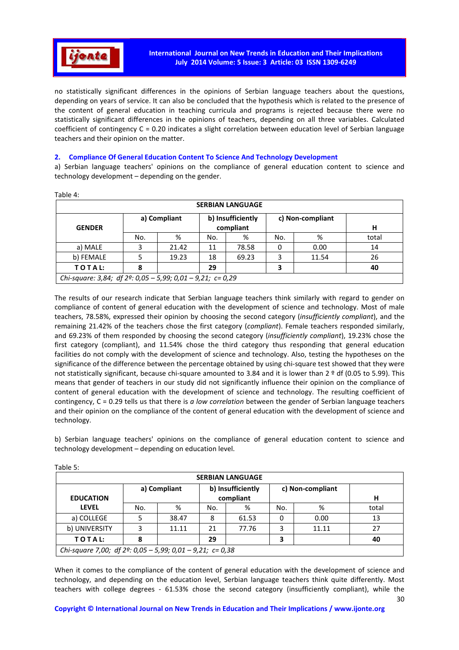

no statistically significant differences in the opinions of Serbian language teachers about the questions, depending on years of service. It can also be concluded that the hypothesis which is related to the presence of the content of general education in teaching curricula and programs is rejected because there were no statistically significant differences in the opinions of teachers, depending on all three variables. Calculated coefficient of contingency C = 0.20 indicates a slight correlation between education level of Serbian language teachers and their opinion on the matter.

# **2. Compliance Of General Education Content To Science And Technology Development**

а) Serbian language teachers' opinions on the compliance of general education content to science and technology development – depending on the gender.

|                                                                      |     |                                                                    |     | <b>SERBIAN LANGUAGE</b> |     |       |       |  |  |  |
|----------------------------------------------------------------------|-----|--------------------------------------------------------------------|-----|-------------------------|-----|-------|-------|--|--|--|
| <b>GENDER</b>                                                        |     | b) Insufficiently<br>a) Compliant<br>c) Non-compliant<br>compliant |     |                         |     |       |       |  |  |  |
|                                                                      | No. | %                                                                  | No. | %                       | No. | %     | total |  |  |  |
| a) MALE                                                              | 3   | 21.42                                                              | 11  | 78.58                   | 0   | 0.00  | 14    |  |  |  |
| b) FEMALE                                                            | 5   | 19.23                                                              | 18  | 69.23                   | 3   | 11.54 | 26    |  |  |  |
| TOTAL:                                                               | 8   |                                                                    | 29  |                         | 3   |       | 40    |  |  |  |
| Chi-square: 3,84; df $2^{\circ}$ : 0,05 - 5,99; 0,01 - 9,21; c= 0,29 |     |                                                                    |     |                         |     |       |       |  |  |  |

Таble 4:

The results of our research indicate that Serbian language teachers think similarly with regard to gender on compliance of content of general education with the development of science and technology. Most of male teachers, 78.58%, expressed their opinion by choosing the second category (*insufficiently compliant*), and the remaining 21.42% of the teachers chose the first category (*compliant*). Female teachers responded similarly, and 69.23% of them responded by choosing the second category (*insufficiently compliant*), 19.23% chose the first category (compliant), and 11.54% chose the third category thus responding that general education facilities do not comply with the development of science and technology. Also, testing the hypotheses on the significance of the difference between the percentage obtained by using chi-square test showed that they were not statistically significant, because chi-square amounted to 3.84 and it is lower than 2 <sup>o</sup> df (0.05 to 5.99). This means that gender of teachers in our study did not significantly influence their opinion on the compliance of content of general education with the development of science and technology. The resulting coefficient of contingency, C = 0.29 tells us that there is *a low correlation* between the gender of Serbian language teachers and their opinion on the compliance of the content of general education with the development of science and technology.

b) Serbian language teachers' opinions on the compliance of general education content to science and technology development – depending on education level.

| iu vitu .<br><b>SERBIAN LANGUAGE</b> |                                                                     |              |     |                   |     |                  |       |  |  |  |  |
|--------------------------------------|---------------------------------------------------------------------|--------------|-----|-------------------|-----|------------------|-------|--|--|--|--|
|                                      |                                                                     | a) Compliant |     | b) Insufficiently |     | c) Non-compliant |       |  |  |  |  |
| <b>EDUCATION</b>                     |                                                                     | compliant    |     |                   |     |                  |       |  |  |  |  |
| <b>LEVEL</b>                         | No.                                                                 | %            | No. | %                 | No. | %                | total |  |  |  |  |
| a) COLLEGE                           |                                                                     | 38.47        | 8   | 61.53             | 0   | 0.00             | 13    |  |  |  |  |
| b) UNIVERSITY                        |                                                                     | 11.11        | 21  | 77.76             | 3   | 11.11            | 27    |  |  |  |  |
| TOTAL:                               | 8                                                                   |              | 29  |                   | 3   |                  | 40    |  |  |  |  |
|                                      | Chi-square 7,00; df $2^{\circ}$ : 0,05 - 5,99; 0,01 - 9,21; c= 0,38 |              |     |                   |     |                  |       |  |  |  |  |

Тable 5:

When it comes to the compliance of the content of general education with the development of science and technology, and depending on the education level, Serbian language teachers think quite differently. Most teachers with college degrees - 61.53% chose the second category (insufficiently compliant), while the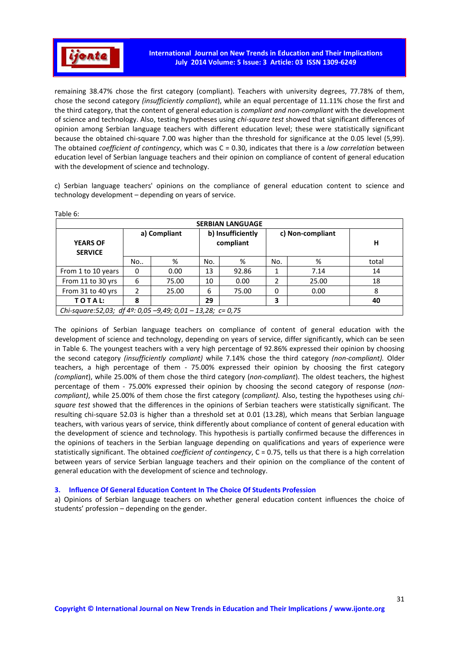

remaining 38.47% chose the first category (compliant). Teachers with university degrees, 77.78% of them, chose the second category *(insufficiently compliant*), while an equal percentage of 11.11% chose the first and the third category, that the content of general education is *compliant and non-compliant* with the development of science and technology. Also, testing hypotheses using *chi-square test* showed that significant differences of opinion among Serbian language teachers with different education level; these were statistically significant because the obtained chi-square 7.00 was higher than the threshold for significance at the 0.05 level (5,99). The obtained *coefficient of contingency*, which was C = 0.30, indicates that there is a *low correlation* between education level of Serbian language teachers and their opinion on compliance of content of general education with the development of science and technology.

c) Serbian language teachers' opinions on the compliance of general education content to science and technology development – depending on years of service.

| <b>SERBIAN LANGUAGE</b>                                      |    |              |     |                                |     |                  |       |  |  |  |  |
|--------------------------------------------------------------|----|--------------|-----|--------------------------------|-----|------------------|-------|--|--|--|--|
| <b>YEARS OF</b><br><b>SERVICE</b>                            |    | a) Compliant |     | b) Insufficiently<br>compliant |     | c) Non-compliant | н     |  |  |  |  |
|                                                              | No | %            | No. | %                              | No. | %                | total |  |  |  |  |
| From 1 to 10 years                                           | 0  | 0.00         | 13  | 92.86                          |     | 7.14             | 14    |  |  |  |  |
| From 11 to 30 yrs                                            | 6  | 75.00        | 10  | 0.00                           | 2   | 25.00            | 18    |  |  |  |  |
| From 31 to 40 yrs                                            |    | 25.00        | 6   | 75.00                          | 0   | 0.00             | 8     |  |  |  |  |
| TOTAL:                                                       | 8  |              | 29  |                                | 3   |                  | 40    |  |  |  |  |
| Chi-square: 52,03; df 4º: 0,05 - 9,49; 0,01 - 13,28; c= 0,75 |    |              |     |                                |     |                  |       |  |  |  |  |

Table 6:

The opinions of Serbian language teachers on compliance of content of general education with the development of science and technology, depending on years of service, differ significantly, which can be seen in Table 6. The youngest teachers with a very high percentage of 92.86% expressed their opinion by choosing the second category *(insufficiently compliant)* while 7.14% chose the third category *(non-compliant).* Older teachers, a high percentage of them - 75.00% expressed their opinion by choosing the first category *(compliant*), while 25.00% of them chose the third category (*non-compliant*). The oldest teachers, the highest percentage of them - 75.00% expressed their opinion by choosing the second category of response (*noncompliant)*, while 25.00% of them chose the first category (*compliant).* Also, testing the hypotheses using *chisquare test* showed that the differences in the opinions of Serbian teachers were statistically significant. The resulting chi-square 52.03 is higher than a threshold set at 0.01 (13.28), which means that Serbian language teachers, with various years of service, think differently about compliance of content of general education with the development of science and technology. This hypothesis is partially confirmed because the differences in the opinions of teachers in the Serbian language depending on qualifications and years of experience were statistically significant. The obtained *coefficient of contingency*, C = 0.75, tells us that there is a high correlation between years of service Serbian language teachers and their opinion on the compliance of the content of general education with the development of science and technology.

### **3. Influence Of General Education Content In The Choice Of Students Profession**

а) Opinions of Serbian language teachers on whether general education content influences the choice of students' profession – depending on the gender.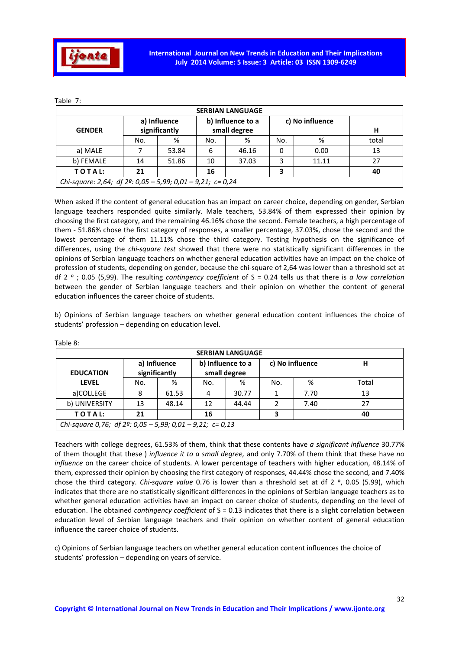

| <b>SERBIAN LANGUAGE</b>                                              |                               |       |                                   |       |                 |       |       |  |  |  |  |
|----------------------------------------------------------------------|-------------------------------|-------|-----------------------------------|-------|-----------------|-------|-------|--|--|--|--|
| <b>GENDER</b>                                                        | a) Influence<br>significantly |       | b) Influence to a<br>small degree |       | c) No influence |       | н     |  |  |  |  |
|                                                                      | No.                           | %     | No.                               | %     | No.             | %     | total |  |  |  |  |
| a) MALE                                                              |                               | 53.84 | 6                                 | 46.16 | 0               | 0.00  | 13    |  |  |  |  |
| b) FEMALE                                                            | 14                            | 51.86 | 10                                | 37.03 | 3               | 11.11 | 27    |  |  |  |  |
| TOTAL:                                                               | 21                            |       | 16                                |       | 3               |       | 40    |  |  |  |  |
| Chi-square: 2,64; df $2^{\circ}$ : 0,05 - 5,99; 0,01 - 9,21; c= 0,24 |                               |       |                                   |       |                 |       |       |  |  |  |  |

Тable 7:

When asked if the content of general education has an impact on career choice, depending on gender, Serbian language teachers responded quite similarly. Male teachers, 53.84% of them expressed their opinion by choosing the first category, and the remaining 46.16% chose the second. Female teachers, a high percentage of them - 51.86% chose the first category of responses, a smaller percentage, 37.03%, chose the second and the lowest percentage of them 11.11% chose the third category. Testing hypothesis on the significance of differences, using the *chi-square test* showed that there were no statistically significant differences in the opinions of Serbian language teachers on whether general education activities have an impact on the choice of profession of students, depending on gender, because the chi-square of 2,64 was lower than a threshold set at df 2 º ; 0.05 (5,99). The resulting *contingency coefficient* of S = 0.24 tells us that there is *a low correlation* between the gender of Serbian language teachers and their opinion on whether the content of general education influences the career choice of students.

b) Opinions of Serbian language teachers on whether general education content influences the choice of students' profession – depending on education level.

| <b>SERBIAN LANGUAGE</b>                                             |     |                               |     |                                   |     |                 |       |  |  |  |  |
|---------------------------------------------------------------------|-----|-------------------------------|-----|-----------------------------------|-----|-----------------|-------|--|--|--|--|
| <b>EDUCATION</b>                                                    |     | a) Influence<br>significantly |     | b) Influence to a<br>small degree |     | c) No influence | н     |  |  |  |  |
| <b>LEVEL</b>                                                        | No. | %                             | No. | %                                 | No. | %               | Total |  |  |  |  |
| a)COLLEGE                                                           | 8   | 61.53                         | 4   | 30.77                             |     | 7.70            | 13    |  |  |  |  |
| b) UNIVERSITY                                                       | 13  | 48.14                         | 12  | 44.44                             |     | 7.40            | 27    |  |  |  |  |
| TOTAL:                                                              | 21  |                               | 16  |                                   | 3   |                 | 40    |  |  |  |  |
| Chi-square 0,76; df $2^{\circ}$ : 0,05 - 5,99; 0,01 - 9,21; c= 0,13 |     |                               |     |                                   |     |                 |       |  |  |  |  |

Таble 8:

Teachers with college degrees, 61.53% of them, think that these contents have *a significant influence* 30.77% of them thought that these ) *influence it to a small degree,* and only 7.70% of them think that these have *no influence* on the career choice of students. A lower percentage of teachers with higher education, 48.14% of them, expressed their opinion by choosing the first category of responses, 44.44% chose the second, and 7.40% chose the third category. *Chi-square value* 0.76 is lower than a threshold set at df 2 º, 0.05 (5.99), which indicates that there are no statistically significant differences in the opinions of Serbian language teachers as to whether general education activities have an impact on career choice of students, depending on the level of education. The obtained *contingency coefficient* of S = 0.13 indicates that there is a slight correlation between education level of Serbian language teachers and their opinion on whether content of general education influence the career choice of students.

c) Opinions of Serbian language teachers on whether general education content influences the choice of students' profession – depending on years of service.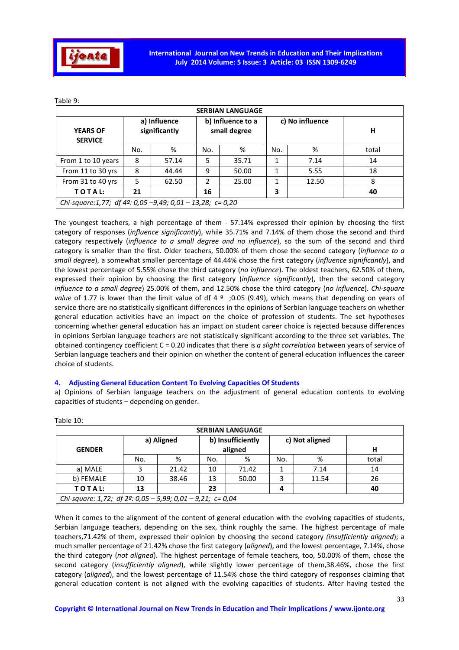

|--|

|                                                                     | <b>SERBIAN LANGUAGE</b> |                               |                                   |       |                 |       |       |  |  |  |  |  |
|---------------------------------------------------------------------|-------------------------|-------------------------------|-----------------------------------|-------|-----------------|-------|-------|--|--|--|--|--|
| <b>YEARS OF</b><br><b>SERVICE</b>                                   |                         | a) Influence<br>significantly | b) Influence to a<br>small degree |       | c) No influence |       | н     |  |  |  |  |  |
|                                                                     | No.                     | %                             | No.                               | %     | No.             | %     | total |  |  |  |  |  |
| From 1 to 10 years                                                  | 8                       | 57.14                         | 5                                 | 35.71 |                 | 7.14  | 14    |  |  |  |  |  |
| From 11 to 30 yrs                                                   | 8                       | 44.44                         | 9                                 | 50.00 | 1               | 5.55  | 18    |  |  |  |  |  |
| From 31 to 40 yrs                                                   | 5                       | 62.50                         | 2                                 | 25.00 | 1               | 12.50 | 8     |  |  |  |  |  |
| TOTAL:                                                              | 21                      |                               | 16                                |       | 3               |       | 40    |  |  |  |  |  |
| Chi-square:1,77; df $4^{\circ}$ : 0,05 -9,49; 0,01 - 13,28; c= 0,20 |                         |                               |                                   |       |                 |       |       |  |  |  |  |  |

The youngest teachers, a high percentage of them - 57.14% expressed their opinion by choosing the first category of responses (*influence significantly*), while 35.71% and 7.14% of them chose the second and third category respectively (*influence to a small degree and no influence*), so the sum of the second and third category is smaller than the first. Older teachers, 50.00% of them chose the second category (*influence to a small degree*), a somewhat smaller percentage of 44.44% chose the first category (*influence significantly*), and the lowest percentage of 5.55% chose the third category (*no influence*). The oldest teachers, 62.50% of them, expressed their opinion by choosing the first category (*influence significantly*), then the second category *influence to a small degree*) 25.00% of them, and 12.50% chose the third category (*no influence*). *Chi-square value* of 1.77 is lower than the limit value of df 4 <sup>o</sup> ;0.05 (9.49), which means that depending on years of service there are no statistically significant differences in the opinions of Serbian language teachers on whether general education activities have an impact on the choice of profession of students. The set hypotheses concerning whether general education has an impact on student career choice is rejected because differences in opinions Serbian language teachers are not statistically significant according to the three set variables. The obtained contingency coefficient C = 0.20 indicates that there is *a slight correlation* between years of service of Serbian language teachers and their opinion on whether the content of general education influences the career choice of students.

# **4. Adjusting General Education Content To Evolving Capacities Of Students**

| Table 10:               |                                                                      |                                                              |     |       |     |       |       |  |  |  |  |
|-------------------------|----------------------------------------------------------------------|--------------------------------------------------------------|-----|-------|-----|-------|-------|--|--|--|--|
| <b>SERBIAN LANGUAGE</b> |                                                                      |                                                              |     |       |     |       |       |  |  |  |  |
| <b>GENDER</b>           |                                                                      | b) Insufficiently<br>c) Not aligned<br>a) Aligned<br>aligned |     |       |     |       |       |  |  |  |  |
|                         | No.                                                                  | %                                                            | No. | %     | No. | %     | total |  |  |  |  |
| a) MALE                 | 3                                                                    | 21.42                                                        | 10  | 71.42 |     | 7.14  | 14    |  |  |  |  |
| b) FEMALE               | 10                                                                   | 38.46                                                        | 13  | 50.00 | 3   | 11.54 | 26    |  |  |  |  |
| TOTAL:                  | 13                                                                   |                                                              | 23  |       | 4   |       | 40    |  |  |  |  |
|                         | Chi-square: 1,72; df $2^{\circ}$ : 0,05 - 5,99; 0,01 - 9,21; c= 0,04 |                                                              |     |       |     |       |       |  |  |  |  |

а) Opinions of Serbian language teachers on the adjustment of general education contents to evolving capacities of students – depending on gender.

When it comes to the alignment of the content of general education with the evolving capacities of students, Serbian language teachers, depending on the sex, think roughly the same. The highest percentage of male teachers,71.42% of them, expressed their opinion by choosing the second category *(insufficiently aligned*); a much smaller percentage of 21.42% chose the first category (*aligned*), and the lowest percentage, 7.14%, chose the third category (*not aligned*). The highest percentage of female teachers, too, 50.00% of them, chose the second category (*insufficiently aligned*), while slightly lower percentage of them,38.46%, chose the first category (*aligned*), and the lowest percentage of 11.54% chose the third category of responses claiming that general education content is not aligned with the evolving capacities of students. After having tested the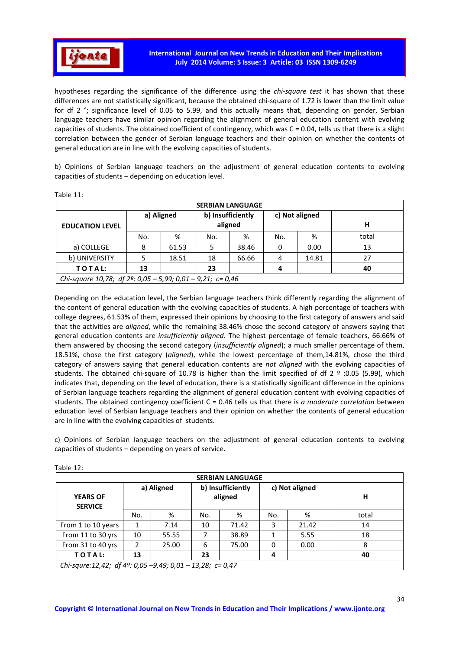

hypotheses regarding the significance of the difference using the *chi-square test* it has shown that these differences are not statistically significant, because the obtained chi-square of 1.72 is lower than the limit value for df 2 °; significance level of 0.05 to 5.99, and this actually means that, depending on gender, Serbian language teachers have similar opinion regarding the alignment of general education content with evolving capacities of students. The obtained coefficient of contingency, which was C = 0.04, tells us that there is a slight correlation between the gender of Serbian language teachers and their opinion on whether the contents of general education are in line with the evolving capacities of students.

b) Opinions of Serbian language teachers on the adjustment of general education contents to evolving capacities of students – depending on education level.

|                                                                      |     |            |                              | <b>SERBIAN LANGUAGE</b> |     |                |       |
|----------------------------------------------------------------------|-----|------------|------------------------------|-------------------------|-----|----------------|-------|
| <b>EDUCATION LEVEL</b>                                               |     | a) Aligned | b) Insufficiently<br>aligned |                         |     | c) Not aligned | н     |
|                                                                      | No. | %          | No.                          | %                       | No. | %              | total |
| a) COLLEGE                                                           | 8   | 61.53      | 5                            | 38.46                   | 0   | 0.00           | 13    |
| b) UNIVERSITY                                                        |     | 18.51      | 18                           | 66.66                   | 4   | 14.81          | 27    |
| TOTAL:                                                               | 13  |            | 23                           |                         | 4   |                | 40    |
| Chi-square 10,78; df $2^{\circ}$ : 0,05 - 5,99; 0,01 - 9,21; c= 0,46 |     |            |                              |                         |     |                |       |

Table 11:

Depending on the education level, the Serbian language teachers think differently regarding the alignment of the content of general education with the evolving capacities of students. A high percentage of teachers with college degrees, 61.53% of them, expressed their opinions by choosing to the first category of answers and said that the activities are *aligned*, while the remaining 38.46% chose the second category of answers saying that general education contents are *insufficiently aligned*. The highest percentage of female teachers, 66.66% of them answered by choosing the second category (*insufficiently aligned*); a much smaller percentage of them, 18.51%, chose the first category (*aligned*), while the lowest percentage of them,14.81%, chose the third category of answers saying that general education contents are *not aligned* with the evolving capacities of students. The obtained chi-square of 10.78 is higher than the limit specified of df  $2 \degree$ ;0.05 (5.99), which indicates that, depending on the level of education, there is a statistically significant difference in the opinions of Serbian language teachers regarding the alignment of general education content with evolving capacities of students. The obtained contingency coefficient C = 0.46 tells us that there is *a moderate correlation* between education level of Serbian language teachers and their opinion on whether the contents of general education are in line with the evolving capacities of students.

c) Opinions of Serbian language teachers on the adjustment of general education contents to evolving capacities of students – depending on years of service.

| <b>SERBIAN LANGUAGE</b>                                   |            |       |                              |       |                |       |       |  |  |
|-----------------------------------------------------------|------------|-------|------------------------------|-------|----------------|-------|-------|--|--|
| <b>YEARS OF</b><br><b>SERVICE</b>                         | a) Aligned |       | b) Insufficiently<br>aligned |       | c) Not aligned |       | н     |  |  |
|                                                           | No.        | %     | No.                          | %     | No.            | %     | total |  |  |
| From 1 to 10 years                                        |            | 7.14  | 10                           | 71.42 | 3              | 21.42 | 14    |  |  |
| From 11 to 30 yrs                                         | 10         | 55.55 |                              | 38.89 |                | 5.55  | 18    |  |  |
| From 31 to 40 yrs                                         | 2          | 25.00 | 6                            | 75.00 | $\Omega$       | 0.00  | 8     |  |  |
| TOTAL:                                                    | 13         |       | 23                           |       | 4              |       | 40    |  |  |
| Chi-squre:12,42; df 4º: 0,05 -9,49; 0,01 - 13,28; c= 0,47 |            |       |                              |       |                |       |       |  |  |

Table 12: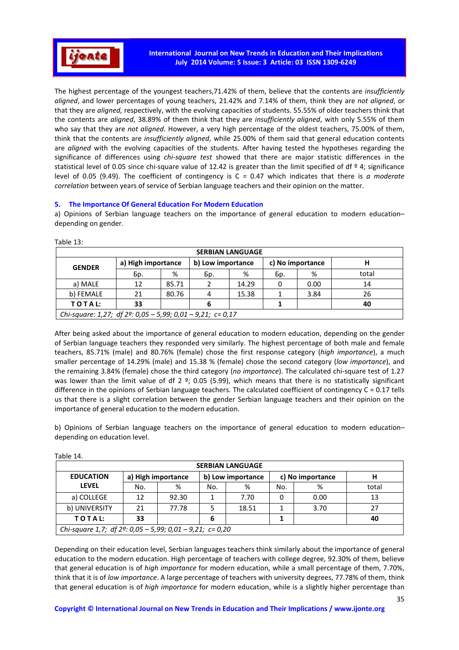

The highest percentage of the youngest teachers,71.42% of them, believe that the contents are *insufficiently aligned*, and lower percentages of young teachers, 21.42% and 7.14% of them, think they are *not aligned*, or that they are *aligned,* respectively, with the evolving capacities of students. 55.55% of older teachers think that the contents are *aligned*, 38.89% of them think that they are *insufficiently aligned*, with only 5.55% of them who say that they are *not aligned*. However, a very high percentage of the oldest teachers, 75.00% of them, think that the contents are *insufficiently aligned*, while 25.00% of them said that general education contents are *aligned* with the evolving capacities of the students. After having tested the hypotheses regarding the significance of differences using *chi-square test* showed that there are major statistic differences in the statistical level of 0.05 since chi-square value of 12.42 is greater than the limit specified of df  $9$  4; significance level of 0.05 (9.49). The coefficient of contingency is C = 0.47 which indicates that there is *a moderate correlation* between years of service of Serbian language teachers and their opinion on the matter.

# **5. The Importance Of General Education For Modern Education**

a) Opinions of Serbian language teachers on the importance of general education to modern education– depending on gender.

| <b>SERBIAN LANGUAGE</b>                                              |                    |       |                   |       |                  |      |       |  |  |
|----------------------------------------------------------------------|--------------------|-------|-------------------|-------|------------------|------|-------|--|--|
| <b>GENDER</b>                                                        | a) High importance |       | b) Low importance |       | c) No importance |      |       |  |  |
|                                                                      | Бр.                | %     | Бp.               | %     | Бp.              | %    | total |  |  |
| a) MALE                                                              | 12                 | 85.71 |                   | 14.29 | 0                | 0.00 | 14    |  |  |
| b) FEMALE                                                            | 21                 | 80.76 | 4                 | 15.38 |                  | 3.84 | 26    |  |  |
| TOTAL:                                                               | 33                 |       |                   |       |                  |      | 40    |  |  |
| Chi-square: 1,27; df $2^{\circ}$ : 0,05 - 5,99; 0,01 - 9,21; c= 0,17 |                    |       |                   |       |                  |      |       |  |  |

Table 13:

After being asked about the importance of general education to modern education, depending on the gender of Serbian language teachers they responded very similarly. The highest percentage of both male and female teachers, 85.71% (male) and 80.76% (female) chose the first response category (*high importance*), a much smaller percentage of 14.29% (male) and 15.38 % (female) chose the second category (*low importance*), and the remaining 3.84% (female) chose the third category (*no importance*). The calculated chi-square test of 1.27 was lower than the limit value of df 2 °; 0.05 (5.99), which means that there is no statistically significant difference in the opinions of Serbian language teachers. The calculated coefficient of contingency  $C = 0.17$  tells us that there is a slight correlation between the gender Serbian language teachers and their opinion on the importance of general education to the modern education.

b) Opinions of Serbian language teachers on the importance of general education to modern education– depending on education level.

| <b>SERBIAN LANGUAGE</b>                                            |                    |       |                   |       |                  |      |       |  |  |
|--------------------------------------------------------------------|--------------------|-------|-------------------|-------|------------------|------|-------|--|--|
| <b>EDUCATION</b>                                                   | a) High importance |       | b) Low importance |       | c) No importance |      | н     |  |  |
| <b>LEVEL</b>                                                       | No.                | %     | No.               | %     | No.              | %    | total |  |  |
| a) COLLEGE                                                         | 12                 | 92.30 |                   | 7.70  | 0                | 0.00 | 13    |  |  |
| b) UNIVERSITY                                                      | 21                 | 77.78 |                   | 18.51 |                  | 3.70 | 27    |  |  |
| TOTAL:                                                             | 33                 |       | 6                 |       |                  |      | 40    |  |  |
| Chi-square 1,7; df $2^{\circ}$ : 0,05 - 5,99; 0,01 - 9,21; c= 0,20 |                    |       |                   |       |                  |      |       |  |  |

Table 14.

Depending on their education level, Serbian languages teachers think similarly about the importance of general education to the modern education. High percentage of teachers with college degree, 92.30% of them, believe that general education is of *high importance* for modern education, while a small percentage of them, 7.70%, think that it is of *low importance*. A large percentage of teachers with university degrees, 77.78% of them, think that general education is of *high importance* for modern education, while is a slightly higher percentage than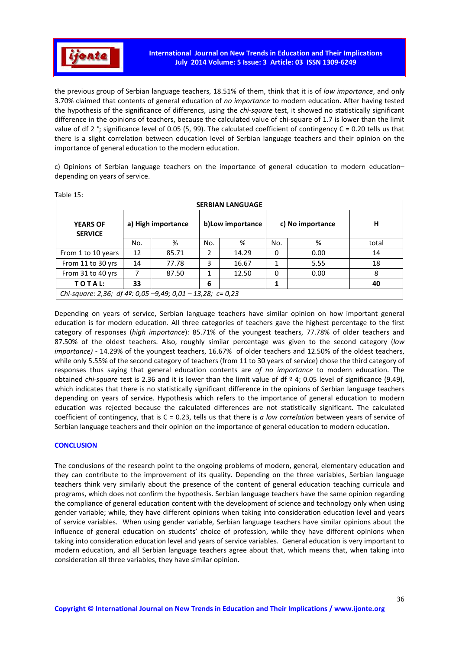

the previous group of Serbian language teachers, 18.51% of them, think that it is of *low importance*, and only 3.70% claimed that contents of general education of *no importance* to modern education. After having tested the hypothesis of the significance of differencs, using the *chi-square* test, it showed no statistically significant difference in the opinions of teachers, because the calculated value of chi-square of 1.7 is lower than the limit value of df 2 °; significance level of 0.05 (5, 99). The calculated coefficient of contingency C = 0.20 tells us that there is a slight correlation between education level of Serbian language teachers and their opinion on the importance of general education to the modern education.

c) Opinions of Serbian language teachers on the importance of general education to modern education– depending on years of service.

| <b>SERBIAN LANGUAGE</b>                                              |                    |       |                   |       |                  |      |       |  |  |  |
|----------------------------------------------------------------------|--------------------|-------|-------------------|-------|------------------|------|-------|--|--|--|
| <b>YEARS OF</b><br><b>SERVICE</b>                                    | a) High importance |       | b) Low importance |       | c) No importance |      | н     |  |  |  |
|                                                                      | No.                | %     | No.               | %     | No.              | %    | total |  |  |  |
| From 1 to 10 years                                                   | 12                 | 85.71 | 2                 | 14.29 | 0                | 0.00 | 14    |  |  |  |
| From 11 to 30 yrs                                                    | 14                 | 77.78 | 3                 | 16.67 |                  | 5.55 | 18    |  |  |  |
| From 31 to 40 yrs                                                    |                    | 87.50 | 1                 | 12.50 | 0                | 0.00 | 8     |  |  |  |
| TOTAL:                                                               | 33                 |       | 6                 |       | 1                |      | 40    |  |  |  |
| Chi-square: 2,36; df $4^{\circ}$ : 0,05 -9,49; 0,01 - 13,28; c= 0,23 |                    |       |                   |       |                  |      |       |  |  |  |

Table 15:

Depending on years of service, Serbian language teachers have similar opinion on how important general education is for modern education. All three categories of teachers gave the highest percentage to the first category of responses (*high importance*): 85.71% of the youngest teachers, 77.78% of older teachers and 87.50% of the oldest teachers. Also, roughly similar percentage was given to the second category (*low importance)* - 14.29% of the youngest teachers, 16.67% of older teachers and 12.50% of the oldest teachers, while only 5.55% of the second category of teachers (from 11 to 30 years of service) chose the third category of responses thus saying that general education contents are *of no importance* to modern education. The obtained *chi-square* test is 2.36 and it is lower than the limit value of df º 4; 0.05 level of significance (9.49), which indicates that there is no statistically significant difference in the opinions of Serbian language teachers depending on years of service. Hypothesis which refers to the importance of general education to modern education was rejected because the calculated differences are not statistically significant. The calculated coefficient of contingency, that is C = 0.23, tells us that there is *a low correlation* between years of service of Serbian language teachers and their opinion on the importance of general education to modern education.

### **CONCLUSION**

The conclusions of the research point to the ongoing problems of modern, general, elementary education and they can contribute to the improvement of its quality. Depending on the three variables, Serbian language teachers think very similarly about the presence of the content of general education teaching curricula and programs, which does not confirm the hypothesis. Serbian language teachers have the same opinion regarding the compliance of general education content with the development of science and technology only when using gender variable; while, they have different opinions when taking into consideration education level and years of service variables. When using gender variable, Serbian language teachers have similar opinions about the influence of general education on students' choice of profession, while they have different opinions when taking into consideration education level and years of service variables. General education is very important to modern education, and all Serbian language teachers agree about that, which means that, when taking into consideration all three variables, they have similar opinion.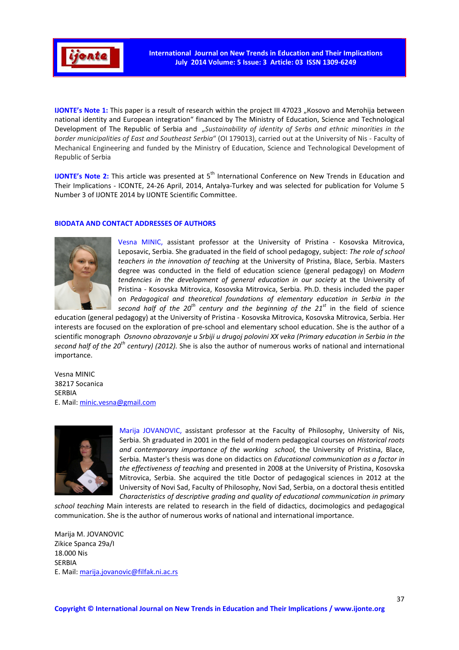

**IJONTE's Note 1:** This paper is a result of research within the project III 47023 "Kosovo and Merohija between national identity and European integration" financed by The Ministry of Education, Science and Technological Development of The Republic of Serbia and "*Sustainability of identity of Serbs and ethnic minorities in the border municipalities of East and Southeast Serbia*" (ОI 179013), carried out at the University of Nis - Faculty of Mechanical Engineering and funded by the Ministry of Education, Science and Technological Development of Republic of Serbia

**IJONTE's Note 2:** This article was presented at 5<sup>th</sup> International Conference on New Trends in Education and Their Implications - ICONTE, 24-26 April, 2014, Antalya-Turkey and was selected for publication for Volume 5 Number 3 of IJONTE 2014 by IJONTE Scientific Committee.

# **BIODATA AND CONTACT ADDRESSES OF AUTHORS**



Vesna MINIC, assistant professor at the University of Pristina - Kosovska Mitrovica, Leposavic, Serbia. She graduated in the field of school pedagogy, subject: *The role of school teachers in the innovation of teaching* at the University of Pristina, Blace, Serbia. Masters degree was conducted in the field of education science (general pedagogy) on *Modern tendencies in the development of general education in our society* at the University of Pristina - Kosovska Mitrovica, Kosovska Mitrovica, Serbia. Ph.D. thesis included the paper on *Pedagogical and theoretical foundations of elementary education in Serbia in the second half of the 20th century and the beginning of the 21st* in the field of science

education (general pedagogy) at the University of Pristina - Kosovska Mitrovica, Kosovska Mitrovica, Serbia. Her interests are focused on the exploration of pre-school and elementary school education. She is the author of a scientific monograph *Osnovno obrazovanje u Srbiji u drugoj polovini ХХ veka (Primary education in Serbia in the second half of the 20th century) (2012).* She is also the author of numerous works of national and international importance.

Vesna MINIC 38217 Socanica SERBIA E. Mail: minic.vesna@gmail.com



Marija JOVANOVIC, assistant professor at the Faculty of Philosophy, University of Nis, Serbia. Sh graduated in 2001 in the field of modern pedagogical courses on *Historical roots and contemporary importance of the working school,* the University of Pristina, Blace, Serbia. Master's thesis was done on didactics on *Educational communication as a factor in the effectiveness of teaching* and presented in 2008 at the University of Pristina, Kosovska Mitrovica, Serbia. She acquired the title Doctor of pedagogical sciences in 2012 at the University of Novi Sad, Faculty of Philosophy, Novi Sad, Serbia, on a doctoral thesis entitled *Characteristics of descriptive grading and quality of educational communication in primary* 

*school teaching* Main interests are related to research in the field of didactics, docimologics and pedagogical communication. She is the author of numerous works of national and international importance.

Marija M. JOVANOVIC Zikice Spanca 29a/I 18.000 Nis SERBIA E. Mail: marija.jovanovic@filfak.ni.ac.rs